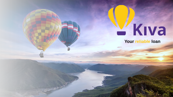# V Kiva

**Your reliable loan**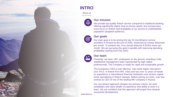

## **INTRO**

#### About us



#### **Our mission**

We provide top-quality fintech service compared to traditional banking, offering significantly higher time-to-money speed, less bureaucracy, more focus on fintech and availability of our service to underbanked population (targeted audience).



### **Our goals**

Our main goal is to be among the top 10 microfinance service providers in Russia by the end of 2020, measured by money disbursed per month. To achieve this, Kiva should disburse 8 EURm loans per month. We are pursuing this goal in parallel with improving operating profitability starting from Feb 2020.



#### **Our team**

Presently, we have 130+ employees on the ground, including a fully established management team represented by high caliber professionals. The Company is ready for rapid and sustainable growth.

The Company's CEO is Ivan Merinov. Ivan holds higher educations (incl. Ph.D. in fintech from MIT, USA) and has over 12 years of hands on experience in international financial institutions and venture capital funds specializing in fintech startups. Before joining our team, Ivan has worked as CEO of one of the leading MFI company in Russia.

Our recruitment approach dictates two primary criteria: we seek candidates who have wealth of experience and ability to work in a team. We are confident that this approach will propel Kiva towards successful development.

www.kiva.ru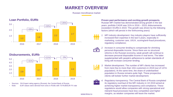## **MARKET OVERVIEW**

Russian microfinance market



#### 2.8  $3.7$  4.4 4.3 - 1.0 2.0 3.0 4.0 5.0 2016 2017 2018 2019 **Disbursements, EURb**  $+21\%$   $-1$   $\sim$  0% +31%

• Sources: RA Expert rating agency (Russia); the Central Bank of Russia • Note: EUR values were derived from ones in RUBs with 70 RUB/EUR FX rate

#### **Proven past performance and exciting growth prospects.**

Russian MFI market has demonstrated strong growth in the last years: portfolio CAGR was 31% in 2016 – 2019, disbursements exceeded 4 EURb in 2019. This growth was driven by the following factors (which will persist in the forthcoming years):

- *1. MFI industry development.* Key industry players have sufficiently increased their expertise in the last 5 years, especially in marketing, customer care, UI/UX, scoring/anti-fraud procedures, regulatory compliance;
- *2. Increase in consumer lending* to compensate for shrinking personal disposable income. Since there are no structural reforms in the Russian economy, weak growth will continue to decrease personal disposable income in real terms. The latter supplemented with people's adherence to certain standards of living will increase consumer lending;
- *3. Market development.* The number of MFI clients has increased from mere few to more than 10m customers in 2019 (out of 147m population). At the same time, the share of underbanked population in Russia remains quite high. These prospective clients will bolster further market development;
- 

 $\bullet$   $\bullet$   $\bullet$ 

*4. Regulatory transparency.* The Central Bank of Russia completed its regulatory overhaul of the MFI industry in 1H 2019 aimed at achieving higher market transparency and compliance. These regulations would allow companies with strong operational and risk/anti-fraud processes have less competition and higher margins, as weaker companies will leave the market.

www.kiva.ru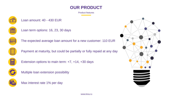## **OUR PRODUCT**

Product features



Loan amount: 40 - 430 EUR



Loan term options: 16, 23, 30 days



The expected average loan amount for a new customer: 110 EUR



Payment at maturity, but could be partially or fully repaid at any day



Extension options to main term: +7, +14, +30 days



Multiple loan extension possibility



Max interest rate 1% per day

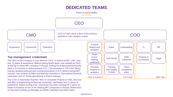## **DEDICATED TEAMS**

Areas of responsibility



mngmnt & analytics

complaints team

*Risks & Analytics 'Front' team 'Back' team*

and Quality **Control** 

at the top-5 online MFI company in Russia. Among his projects/achievements were a 2x increase in disbursements (1Y), 2.8x decrease in CPL/CAC (8mo), industry-leading antifraud and scoring procedures (1.5Y). Before joining MFI industry, Ivan worked as M&A and financial executive in international financial institutions and VC funds specializing in fintech startups.

The COO is Viacheslav Krykhtin, MSc in Corporate Finance at HSE, Moscow, and MSc in Engineering at Bauman University. Viacheslav has 11 years of experience. Before joining Kiva, Viacheslav has been working for 2 years as Head of Analytics at one of the leading MFI companies in Russia. Before that, he had been working as Manager at KPMG (Valuation and M&A Dept.).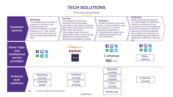## **TECH SOLUTIONS**

Some tools and techniques

| <b>Customer</b><br>journey                                                       | <b>Marketing</b><br>The ultimate goal of this study is<br>to acquire a customer at the<br>lowest possible price<br>(CPL/CAC), bearing in mind the<br>customer's LTV. Thus, all else<br>equal, all tools of this study are<br>aimed at increasing conversion<br>rates. | <b>Scoring</b><br>The main goal of this study is<br>achieving PD as low possible,<br>especially for new clients' acquisition<br>when fraud and general risks are too<br>high. These may result in<br>unacceptable losses driving the<br>surplus below 100%. We use cutting-<br>edge tools to prevent fraud and<br>decrease the probability of default. | <b>Retention</b><br>Customer retention is the main<br>driver of customer lifetime value.<br>To maximize LTV we are<br>planning to implement a<br>clustered loyalty program and<br>sophisticated retention and<br>cross-scorecards. | <b>Collection</b><br>While previous studies aimed at<br>LTV-maximization via 'soft-power',<br>collection considers one to be<br>increased via as much of defaulted<br>amount as possible, but with strict<br>adherence to Russian legislation.<br>Robo-collector and collection via<br>messengers along with traditional<br>calling prove sufficient in achieving<br>this. |
|----------------------------------------------------------------------------------|-----------------------------------------------------------------------------------------------------------------------------------------------------------------------------------------------------------------------------------------------------------------------|--------------------------------------------------------------------------------------------------------------------------------------------------------------------------------------------------------------------------------------------------------------------------------------------------------------------------------------------------------|------------------------------------------------------------------------------------------------------------------------------------------------------------------------------------------------------------------------------------|----------------------------------------------------------------------------------------------------------------------------------------------------------------------------------------------------------------------------------------------------------------------------------------------------------------------------------------------------------------------------|
| Some* high-<br>end<br><i>institutional</i><br><b>service</b><br><b>providers</b> | FICS<br>$\bullet$                                                                                                                                                                                                                                                     | JuicyScore<br><b>EQUIFAX®</b><br><b>FRAUDHUNT</b>                                                                                                                                                                                                                                                                                                      | FICS<br>$\bullet$<br>emarsys<br><b>VCC:Live</b>                                                                                                                                                                                    | FICS<br>$\bullet$<br>Robo-<br>collector                                                                                                                                                                                                                                                                                                                                    |
| In-house<br>tech<br><b>solutions</b>                                             | <b>Marketing</b><br>scoring<br><b>Umbrella</b><br>brand<br>Note:<br>(*) Some suppliers are not disclosed                                                                                                                                                              | Antifraud<br>scoring<br><b>Credit</b><br>scoring<br>www.kiva.ru                                                                                                                                                                                                                                                                                        | <b>Retention</b><br>scoring<br>Loyalty<br>program<br>Cross-<br>scoring<br>Mobile app.                                                                                                                                              | <b>Collection</b><br>scoring                                                                                                                                                                                                                                                                                                                                               |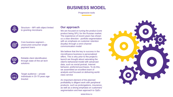## **BUSINESS MODEL**

Progressive tools



Structure – MFI with object limited to granting microloans



Core business segment – unsecured consumer single payment loans



Reliable client identification through state-of-the-art tech solutions



Target audience – private individuals in 20-70 years age bracket

#### **Our approach**

We are focused on tuning the product (core product being SPL) for the Russian market. The experience of recent years has shown us a clear direction - portfolio segmentation with an emphasis on customer retention (loyalty) through a omni-channel communication model

We believe that the key to success in the microfinance business is personalized offers. This is why prior to the project's launch we thought about saturating the client's behavioral model with advanced data, such as social portrait, Internet behavior, preferred purchases. To do this, we assembled an excellent team of analysts and focused on delivering worldclass service

An important element of the planned profitability is diligent work with peripheral products, such as prolongations, insurance, as well as a strong emphasis on customers' segmentation and lean approach to OpEx

www.kiva.ru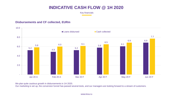## **INDICATIVE CASH FLOW @ 1H 2020**

Key financials

#### **Disbursements and CF collected, EURm**



We plan quite cautious growth in disbursements in 1H 2020.

Our marketing is set up, the conversion funnel has passed several tests, and our managers are looking forward to a stream of customers.